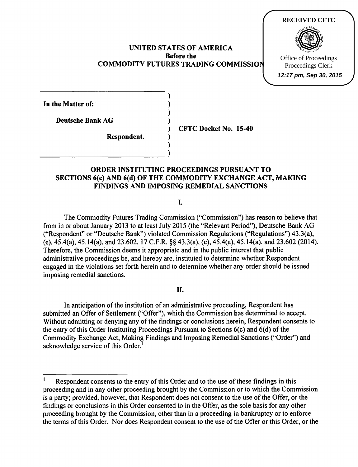#### UNITED STATES OF AMERICA Before the COMMODITY FUTURES TRADING COMMISSION

)

)



**12:17 pm, Sep 30, 2015**

In the Matter of:

Deutsche Bank AG )

Respondent. )  $\begin{pmatrix} 1 & 1 \\ 0 & 1 \end{pmatrix}$  ) CFTC Docket No. 15-40

## ORDER INSTITUTING PROCEEDINGS PURSUANT TO SECTIONS 6(c) AND 6(d) OF THE COMMODITY EXCHANGE ACT, MAKING FINDINGS AND IMPOSING REMEDIAL SANCTIONS

I.

The Commodity Futures Trading Commission ("Commission") has reason to believe that from in or about January 2013 to at least July 2015 (the "Relevant Period"), Deutsche Bank AG ("Respondent" or "Deutsche Bank") violated Commission Regulations ("Regulations") 43.3(a), (e), 45.4{a), 45.14(a), and 23.602, 17 C.F.R. §§ 43.3(a), (e), 45.4(a), 45.14(a), and 23.602 (2014). Therefore, the Commission deems it appropriate and in the public interest that public administrative proceedings be, and hereby are, instituted to determine whether Respondent engaged in the violations set forth herein and to determine whether any order should be issued imposing remedial sanctions.

### II.

In anticipation of the institution of an administrative proceeding, Respondent has submitted an Offer of Settlement ("Offer"), which the Commission has determined to accept. Without admitting or denying any of the findings or conclusions herein, Respondent consents to the entry of this Order Instituting Proceedings Pursuant to Sections  $6(c)$  and  $6(d)$  of the Commodity Exchange Act, Making Findings and Imposing Remedial Sanctions ("Order") and acknowledge service of this Order.

Respondent consents to the entry of this Order and to the use of these findings in this proceeding and in any other proceeding brought by the Commission or to which the Commission is a party; provided, however, that Respondent does not consent to the use of the Offer, or the findings or conclusions in this Order consented to in the Offer, as the sole basis for any other proceeding brought by the Commission, other than in a proceeding in bankruptcy or to enforce the terms of this Order. Nor does Respondent consent to the use of the Offer or this Order, or the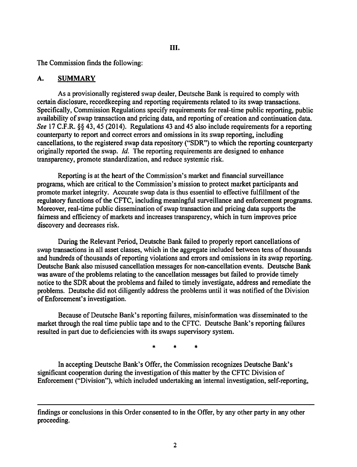The Commission finds the following:

## A. SUMMARY

As a provisionally registered swap dealer, Deutsche Bank is required to comply with certain disclosure, recordkeeping and reporting requirements related to its swap transactions. Specifically, Commission Regulations specify requirements for real-time public reporting, public availability of swap transaction and pricing data, and reporting of creation and continuation data. *See* 17 C.F.R. §§ 43,45 (2014). Regulations 43 and 45 also include requirements for a reporting counterparty to report and correct errors and omissions in its swap reporting, including cancellations, to the registered swap data repository ("SDR") to which the reporting counterparty originally reported the swap.  $Id$ . The reporting requirements are designed to enhance transparency, promote standardization, and reduce systemic risk.

Reporting is at the heart of the Commission's market and financial surveillance programs, which are critical to the Commission's mission to protect market participants and promote market integrity. Accurate swap data is thus essential to effective fulfillment of the regulatory functions of the CFTC, including meaningful surveillance and enforcement programs. Moreover, real-time public dissemination of swap transaction and pricing data supports the fairness and efficiency of markets and increases transparency, which in turn improves price discovery and decreases risk.

During the Relevant Period, Deutsche Bank failed to properly report cancellations of swap transactions in all asset classes, which in the aggregate included between tens of thousands and hundreds of thousands of reporting violations and errors and omissions in its swap reporting. Deutsche Bank also misused cancellation messages for non-cancellation events. Deutsche Bank was aware of the problems relating to the cancellation messages but failed to provide timely notice to the SDR about the problems and failed to timely investigate, address and remediate the problems. Deutsche did not diligently address the problems until it was notified of the Division of Enforcement's investigation.

Because of Deutsche Bank's reporting failures, misinformation was disseminated to the market through the real time public tape and to the CFTC. Deutsche Bank's reporting failures resulted in part due to deficiencies with its swaps supervisory system.

\* \* \*

In accepting Deutsche Bank's Offer, the Commission recognizes Deutsche Bank's significant cooperation during the investigation of this matter by the CFTC Division of Enforcement ("Division"), which included undertaking an internal investigation, self-reporting,

findings or conclusions in this Order consented to in the Offer, by any other party in any other proceeding.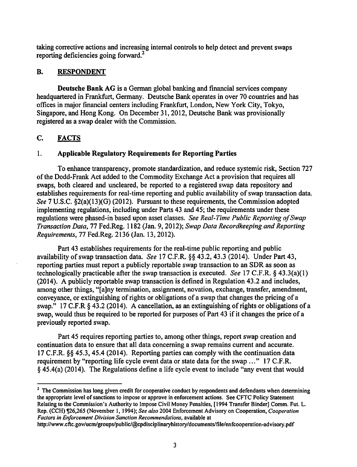taking corrective actions and increasing internal controls to help detect and prevent swaps reporting deficiencies going forward.<sup>2</sup>

## B. RESPONDENT

Deutsche Bank AG is a German global banking and financial services company headquartered in Frankfurt, Germany. Deutsche Bank operates in over 70 countries and has offices in major financial centers including Frankfurt, London, New York City, Tokyo, Singapore, and Hong Kong. On December 31, 2012, Deutsche Bank was provisionally registered as a swap dealer with the Commission.

# C. FACTS

## 1. Applicable Regulatory Requirements for Reporting Parties

To enhance transparency, promote standardization, and reduce systemic risk, Section 727 of the Dodd-Frank Act added to the Commodity Exchange Act a provision that requires all swaps, both cleared and uncleared, be reported to a registered swap data repository and establishes requirements for real-time reporting and public availability of swap transaction data. *See* 7 U.S.C. §2(a)(13)(G) (2012). Pursuant to these requirements, the Commission adopted implementing regulations, including under Parts 43 and 45; the requirements under these regulations were phased-in based upon asset classes. *See Real-Time Public Reporting ofSwap Transaction Data,* 77 Fed.Reg. 1182 (Jan. 9, 2012); *Swap Data Recordkeeping and Reporting Requirements,* 77 Fed.Reg. 2136 (Jan. 13, 2012).

Part 43 establishes requirements for the real-time public reporting and public availability of swap transaction data. *See* 17 C.F.R. §§ 43.2, 43.3 (2014). Under Part 43, reporting parties must report a publicly reportable swap transaction to an SDR as soon as technologically practicable after the swap transaction is executed. *See* 17 C.F.R. § 43.3(a)(1) (2014). A publicly reportable swap transaction is defined in Regulation 43.2 and includes, among other things, "[a]ny termination, assignment, novation, exchange, transfer, amendment, conveyance, or extinguishing of rights or obligations of a swap that changes the pricing of a swap." 17 C.F.R § 43.2 (2014). A cancellation, as an extinguishing of rights or obligations of a swap, would thus be required to be reported for purposes of Part 43 if it changes the price of a previously reported swap.

Part 45 requires reporting parties to, among other things, report swap creation and continuation data to ensure that all data concerning a swap remains current and accurate. 17 C.F.R. §§ 45.3, 45.4 (2014). Reporting parties can comply with the continuation data requirement by "reporting life cycle event data or state data for the swap ..." 17 C.F.R. § 45.4(a) (2014). The Regulations define a life cycle event to include "any event that would

<sup>2</sup> The Commission has long given credit for cooperative conduct by respondents and defendants when determining the appropriate level of sanctions to impose or approve in enforcement actions. See CFTC Policy Statement Relating to the Commission's Authority to Impose Civil Money Penalties, [1994 Transfer Binder] Comm. Fut. L. Rep. (CCH) ¶26,265 (November 1, 1994); *See also* 2004 Enforcement Advisory on Cooperation, *Cooperation Factors in Enforcement Division Sanction Recommendations,* available at

http://www.cftc.gov/ucrnlgroups/public/@cpdisciplinaryhistory/documents/fi1e/enfcooperation-advisory.pdf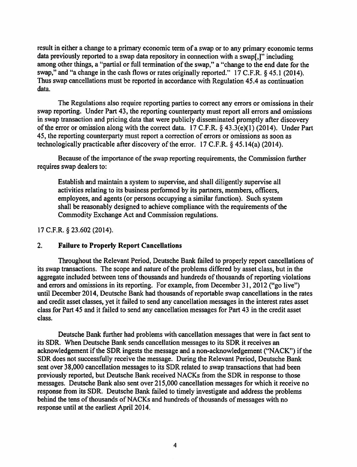result in either a change to a primary economic term of a swap or to any primary economic terms data previously reported to a swap data repository in connection with a swap[,)" including among other things, a "partial or full termination of the swap," a "change to the end date for the swap," and "a change in the cash flows or rates originally reported." 17 C.F.R. § 45.1 (2014). Thus swap cancellations must be reported in accordance with Regulation 45.4 as continuation data.

The Regulations also require reporting parties to correct any errors or omissions in their swap reporting. Under Part 43, the reporting counterparty must report all errors and omissions in swap transaction and pricing data that were publicly disseminated promptly after discovery of the error or omission along with the correct data. 17 C.F.R. *§* 43.3(e)(1) (2014). Under Part 45, the reporting counterparty must report a correction of errors or omissions as soon as technologically practicable after discovery of the error. 17 C.F.R. *§* 45.14(a) (2014).

Because of the importance of the swap reporting requirements, the Commission further requires swap dealers to:

Establish and maintain a system to supervise, and shall diligently supervise all activities relating to its business performed by its partners, members, officers, employees, and agents (or persons occupying a similar function). Such system shall be reasonably designed to achieve compliance with the requirements of the Commodity Exchange Act and Commission regulations.

#### 17 C.F.R. *§* 23.602 (2014).

#### 2. Failure to Properly Report Cancellations

Throughout the Relevant Period, Deutsche Bank failed to properly report cancellations of its swap transactions. The scope and nature of the problems differed by asset class, but in the aggregate included between tens of thousands and hundreds of thousands of reporting violations and errors and omissions in its reporting. For example, from December 31, 2012 ("go live") until December 2014, Deutsche Bank had thousands of reportable swap cancellations in the rates and credit asset classes, yet it failed to send any cancellation messages in the interest rates asset class for Part 45 and it failed to send any cancellation messages for Part 43 in the credit asset class.

Deutsche Bank further had problems with cancellation messages that were in fact sent to its SDR. When Deutsche Bank sends cancellation messages to its SDR it receives an acknowledgement if the SDR ingests the message and a non-acknowledgement ("NACK") if the SDR does not successfully receive the message. During the Relevant Period, Deutsche Bank sent over 38,000 cancellation messages to its SDR related to swap transactions that had been previously reported, but Deutsche Bank received NACKs from the SDR in response to those messages. Deutsche Bank also sent over 215,000 cancellation messages for which it receive no response from its SDR. Deutsche Bank failed to timely investigate and address the problems behind the tens of thousands of NACKs and hundreds of thousands of messages with no response until at the earliest April2014.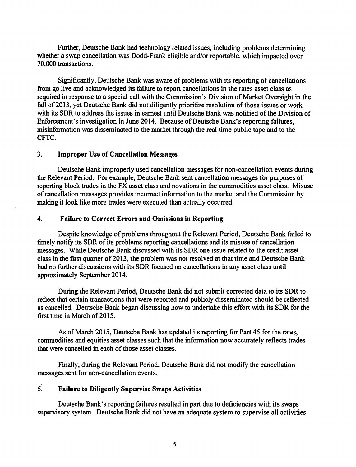Further, Deutsche Bank had technology related issues, including problems determining whether a swap cancellation was Dodd-Frank eligible and/or reportable, which impacted over 70,000 transactions.

Significantly, Deutsche Bank was aware of problems with its reporting of cancellations from go live and acknowledged its failure to report cancellations in the rates asset class as required in response to a special call with the Commission's Division of Market Oversight in the fall of 2013, yet Deutsche Bank did not diligently prioritize resolution of those issues or work with its SDR to address the issues in earnest until Deutsche Bank was notified of the Division of Enforcement's investigation in June 2014. Because of Deutsche Bank's reporting failures, misinformation was disseminated to the market through the real time public tape and to the CFTC.

### 3. Improper Use of Cancellation Messages

Deutsche Bank improperly used cancellation messages for non-cancellation events during the Relevant Period. For example, Deutsche Bank sent cancellation messages for purposes of reporting block trades in the FX asset class and novations in the commodities asset class. Misuse of cancellation messages provides incorrect information to the market and the Commission by making it look like more trades were executed than actually occurred.

## 4. Failure to Correct Errors and Omissions in Reporting

Despite knowledge of problems throughout the Relevant Period, Deutsche Bank failed to timely notify its SDR of its problems reporting cancellations and its misuse of cancellation messages. While Deutsche Bank discussed with its SDR one issue related to the credit asset class in the first quarter of 2013, the problem was not resolved at that time and Deutsche Bank had no further discussions with its SDR focused on cancellations in any asset class until approximately September 2014.

During the Relevant Period, Deutsche Bank did not submit corrected data to its SDR to reflect that certain transactions that were reported and publicly disseminated should be reflected as cancelled. Deutsche Bank began discussing how to undertake this effort with its SDR for the first time in March of 2015.

As of March 2015, Deutsche Bank has updated its reporting for Part 45 for the rates, commodities and equities asset classes such that the information now accurately reflects trades that were cancelled in each of those asset classes.

Finally, during the Relevant Period, Deutsche Bank did not modify the cancellation messages sent for non-cancellation events.

## 5. Failure to Diligently Supervise Swaps Activities

Deutsche Bank's reporting failures resulted in part due to deficiencies with its swaps supervisory system. Deutsche Bank did not have an adequate system to supervise all activities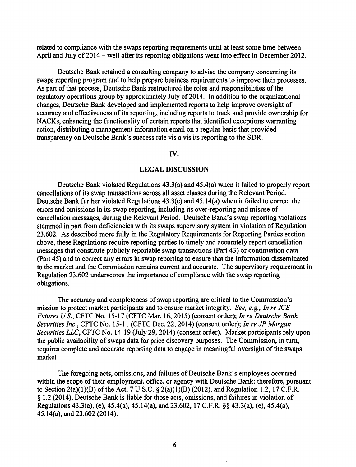related to compliance with the swaps reporting requirements until at least some time between April and July of 2014 – well after its reporting obligations went into effect in December 2012.

Deutsche Bank retained a consulting company to advise the company concerning its swaps reporting program and to help prepare business requirements to improve their processes. As part of that process, Deutsche Bank restructured the roles and responsibilities of the regulatory operations group by approximately July of 2014. In addition to the organizational changes, Deutsche Bank developed and implemented reports to help improve oversight of accuracy and effectiveness of its reporting, including reports to track and provide ownership for NACKs, enhancing the functionality of certain reports that identified exceptions warranting action, distributing a management information email on a regular basis that provided transparency on Deutsche Bank's success rate vis a vis its reporting to the SDR.

#### IV.

#### LEGAL DISCUSSION

Deutsche Bank violated Regulations 43.3(a) and 45.4(a) when it failed to properly report cancellations of its swap transactions across all asset classes during the Relevant Period. Deutsche Bank further violated Regulations 43.3(e) and 45.14(a) when it failed to correct the errors and omissions in its swap reporting, including its over-reporting and misuse of cancellation messages, during the Relevant Period. Deutsche Bank's swap reporting violations stemmed in part from deficiencies with its swaps supervisory system in violation of Regulation 23.602. As described more fully in the Regulatory Requirements for Reporting Parties section above, these Regulations require reporting parties to timely and accurately report cancellation messages that constitute publicly reportable swap transactions (Part 43) or continuation data (Part 45) and to correct any errors in swap reporting to ensure that the information disseminated to the market and the Commission remains current and accurate. The supervisory requirement in Regulation 23.602 underscores the importance of compliance with the swap reporting obligations.

The accuracy and completeness of swap reporting are critical to the Commission's mission to protect market participants and to ensure market integrity. *See, e.g., In re ICE Futures U.S., CFTC No. 15-17 (CFTC Mar. 16, 2015) (consent order); In re Deutsche Bank Securities Inc.,* CFTC No. 15-11 (CFTC Dec. 22, 2014) (consent order); *In re JP Morgan Securities LLC,* CFTC No. 14-19 (July 29, 2014) (consent order). Market participants rely upon the public availability of swaps data for price discovery purposes. The Commission, in turn, requires complete and accurate reporting data to engage in meaningful oversight of the swaps market

The foregoing acts, omissions, and failures of Deutsche Bank's employees occurred within the scope of their employment, office, or agency with Deutsche Bank; therefore, pursuant to Section 2(a)(1)(B) of the Act, 7 U.S.C. § 2(a)(1)(B) (2012), and Regulation 1.2, 17 C.F.R. § 1.2 (20 14), Deutsche Bank is liable for those acts, omissions, and failures in violation of Regulations 43.3(a), (e), 45.4(a), 45.14(a), and 23.602, 17 C.F.R. §§ 43.3(a), (e), 45.4(a), 45.14(a), and 23.602 (2014).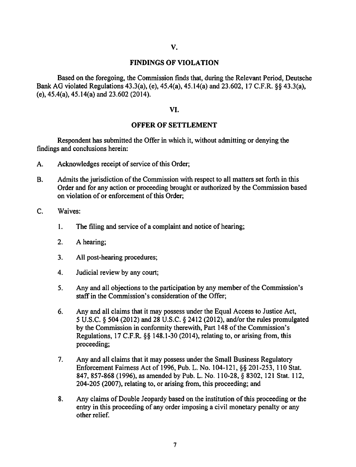#### FINDINGS OF VIOLATION

Based on the foregoing, the Commission finds that, during the Relevant Period, Deutsche Bank AG violated Regulations 43.3(a), (e), 45.4(a), 45.14(a) and 23.602, 17 C.F.R. §§ 43.3(a), (e), 45.4(a), 45.14(a) and 23.602 (2014).

#### VI.

### OFFER OF SETTLEMENT

Respondent has submitted the Offer in which it, without admitting or denying the findings and conclusions herein:

- A. Acknowledges receipt of service of this Order;
- B. Admits the jurisdiction of the Commission with respect to all matters set forth in this Order and for any action or proceeding brought or authorized by the Commission based on violation of or enforcement of this Order;
- C. Waives:
	- 1. The filing and service of a complaint and notice of hearing;
	- 2. A hearing;
	- 3. All post-hearing procedures;
	- 4. Judicial review by any court:
	- 5. Any and all objections to the participation by any member of the Commission's staff in the Commission's consideration of the Offer;
	- 6. Any and all claims that it may possess under the Equal Access to Justice Act, *5* U.S.C. § 504 (2012) and 28 U.S.C. § 2412 (2012), and/or the rules promulgated by the Commission in conformity therewith, Part 148 of the Commission's Regulations, 17 C.F.R. §§ 148.1-30 (2014), relating to, or arising from, this proceeding;
	- 7. Any and all claims that it may possess under the Small Business Regulatory Enforcement Fairness Act of 1996, Pub. L. No. 104-121, §§ 201-253, 110 Stat. 847,857-868 (1996), as amended by Pub. L. No. 110-28, § 8302, 121 Stat. 112, 204-205 (2007), relating to, or arising from, this proceeding; and
	- 8. Any claims of Double Jeopardy based on the institution of this proceeding or the entry in this proceeding of any order imposing a civil monetary penalty or any other relief.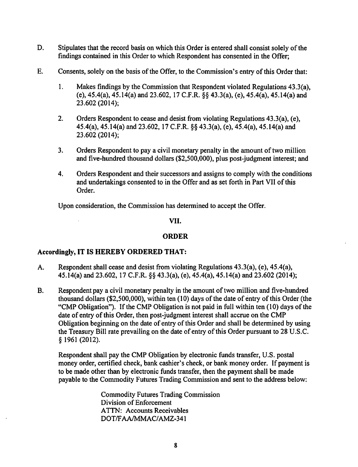- D. Stipulates that the record basis on which this Order is entered shall consist solely of the findings contained in this Order to which Respondent has consented in the Offer;
- E. Consents, solely on the basis of the Offer, to the Commission's entry of this Order that:
	- I. Makes findings by the Commission that Respondent violated Regulations 43.3(a), (e), 45.4(a), 45.14(a) and 23.602, 17 C.F.R. §§ 43.3(a), (e), 45.4(a), 45.14(a) and 23.602 (2014);
	- 2. Orders Respondent to cease and desist from violating Regulations 43.3(a), (e), 45.4(a), 45.14(a) and 23.602, 17 C.F.R. §§ 43.3(a), (e), 45.4(a), 45.14(a) and 23.602 (2014);
	- 3. Orders Respondent to pay a civil monetary penalty in the amount of two million and five-hundred thousand dollars (\$2,500,000), plus post-judgment interest; and
	- 4. Orders Respondent and their successors and assigns to comply with the conditions and undertakings consented to in the Offer and as set forth in Part VII of this Order.

Upon consideration, the Commission has determined to accept the Offer.

### VII.

## ORDER

## Accordingly, IT IS HEREBY ORDERED THAT:

- A. Respondent shall cease and desist from violating Regulations 43.3(a), (e), 45.4(a), 45.14(a) and 23.602, 17 C.F.R. §§ 43.3(a), (e), 45.4(a), 45.14(a) and 23.602 (2014);
- B. Respondent pay a civil monetary penalty in the amount of two million and five-hundred thousand dollars  $(\$2,500,000)$ , within ten  $(10)$  days of the date of entry of this Order (the "CMP Obligation"). If the CMP Obligation is not paid in full within ten (10) days of the date of entry of this Order, then post-judgment interest shall accrue on the CMP Obligation beginning on the date of entry of this Order and shall be determined by using the Treasury Bill rate prevailing on the date of entry of this Order pursuant to 28 U.S.C. § 1961 (2012).

Respondent shall pay the CMP Obligation by electronic funds transfer, U.S. postal money order, certified check, bank cashier's check, or bank money order. If payment is to be made other than by electronic funds transfer, then the payment shall be made payable to the Commodity Futures Trading Commission and sent to the address below:

> Commodity Futures Trading Commission Division of Enforcement ATTN: Accounts Receivables DOT/FAA/MMAC/AMZ-341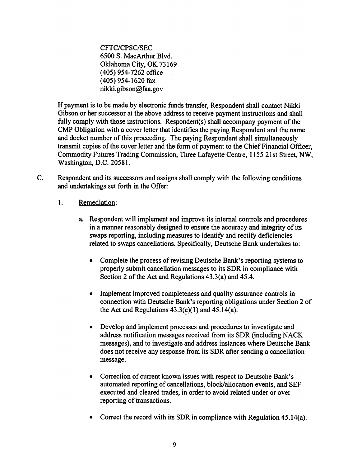CFTC/CPSC/SEC 6500 S. MacArthur Blvd. Oklahoma City, OK 73169 (405) 954-7262 office (405) 954-1620 fax nikki.gibson@faa.gov

If payment is to be made by electronic funds transfer, Respondent shall contact Nikki Gibson or her successor at the above address to receive payment instructions and shall fully comply with those instructions. Respondent(s) shall accompany payment of the CMP Obligation with a cover letter that identifies the paying Respondent and the name and docket number of this proceeding. The paying Respondent shall simultaneously transmit copies of the cover letter and the form of payment to the Chief Financial Officer, Commodity Futures Trading Commission, Three Lafayette Centre, 1155 21st Street, NW, Washington, D.C. 20581.

- C. Respondent and its successors and assigns shall comply with the following conditions and undertakings set forth in the Offer:
	- 1. Remediation:
		- a. Respondent will implement and improve its internal controls and procedures in a manner reasonably designed to ensure the accuracy and integrity of its swaps reporting, including measures to identify and rectify deficiencies related to swaps cancellations. Specifically, Deutsche Bank undertakes to:
			- Complete the process of revising Deutsche Bank's reporting systems to properly submit cancellation messages to its SDR in compliance with Section 2 of the Act and Regulations  $43.3(a)$  and  $45.4$ .
			- Implement improved completeness and quality assurance controls in connection with Deutsche Bank's reporting obligations under Section 2 of the Act and Regulations  $43.3(e)(1)$  and  $45.14(a)$ .
			- Develop and implement processes and procedures to investigate and address notification messages received from its SDR (including NACK messages), and to investigate and address instances where Deutsche Bank does not receive any response from its SDR after sending a cancellation message.
			- Correction of current known issues with respect to Deutsche Bank's automated reporting of cancellations, block/allocation events, and SEF executed and cleared trades, in order to avoid related under or over reporting of transactions.
			- Correct the record with its SDR in compliance with Regulation  $45.14(a)$ .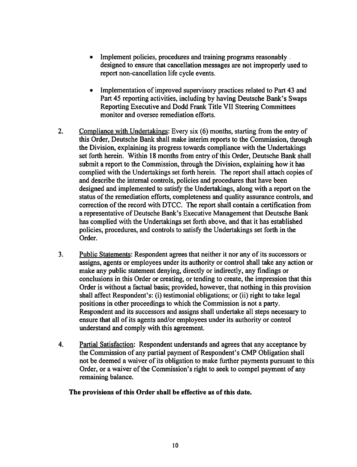- Implement policies, procedures and training programs reasonably . designed to ensure that cancellation messages are not improperly used to report non-cancellation life cycle events.
- Implementation of improved supervisory practices related to Part 43 and Part 45 reporting activities, including by having Deutsche Bank's Swaps Reporting Executive and Dodd Frank Title VII Steering Committees monitor and oversee remediation efforts.
- 2. Compliance with Undertakings: Every six (6) months, starting from the entry of this Order, Deutsche Bank shall make interim reports to the Commission, through the Division, explaining its progress towards compliance with the Undertakings set forth herein. Within 18 months from entry of this Order, Deutsche Bank shall submit a report to the Commission, through the Division, explaining how it has complied with the Undertakings set forth herein. The report shall attach copies of and describe the internal controls, policies and procedures that have been designed and implemented to satisfy the Undertakings, along with a report on the status of the remediation efforts, completeness and quality assurance controls, and correction of the record with DTCC. The report shall contain a certification from a representative of Deutsche Bank's Executive Management that Deutsche Bank has complied with the Undertakings set forth above, and that it has established policies, procedures, and controls to satisfy the Undertakings set forth in the Order.
- 3. Public Statements: Respondent agrees that neither it nor any of its successors or assigns, agents or employees under its authority or control shall take any action or make any public statement denying, directly or indirectly, any findings or conclusions in this Order or creating, or tending to create, the impression that this Order is without a factual basis; provided, however, that nothing in this provision shall affect Respondent's: (i) testimonial obligations; or (ii) right to take legal positions in other proceedings to which the Commission is not a party. Respondent and its successors and assigns shall undertake all steps necessary to ensure that all of its agents and/or employees under its authority or control understand and comply with this agreement.
- 4. Partial Satisfaction: Respondent understands and agrees that any acceptance by the Commission of any partial payment of Respondent's CMP Obligation shall not be deemed a waiver of its obligation to make further payments pursuant to this Order, or a waiver of the Commission's right to seek to compel payment of any remaining balance.

### The provisions of this Order shall be effective as of this date.